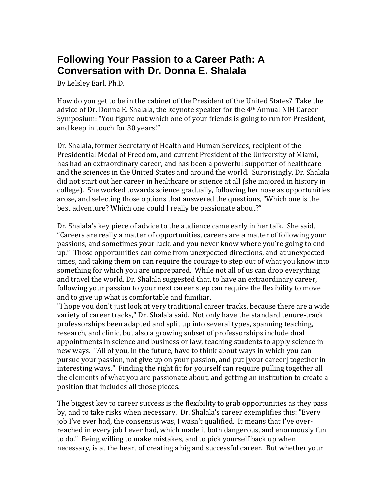## **Following Your Passion to a Career Path: A Conversation with Dr. Donna E. Shalala**

By Lelsley Earl, Ph.D.

How do you get to be in the cabinet of the President of the United States? Take the advice of Dr. Donna E. Shalala, the keynote speaker for the 4th Annual NIH Career Symposium: "You figure out which one of your friends is going to run for President, and keep in touch for 30 years!"

Dr. Shalala, former Secretary of Health and Human Services, recipient of the Presidential Medal of Freedom, and current President of the University of Miami, has had an extraordinary career, and has been a powerful supporter of healthcare and the sciences in the United States and around the world. Surprisingly, Dr. Shalala did not start out her career in healthcare or science at all (she majored in history in college). She worked towards science gradually, following her nose as opportunities arose, and selecting those options that answered the questions, "Which one is the best adventure? Which one could I really be passionate about?"

Dr. Shalala's key piece of advice to the audience came early in her talk. She said, "Careers are really a matter of opportunities, careers are a matter of following your passions, and sometimes your luck, and you never know where you're going to end up." Those opportunities can come from unexpected directions, and at unexpected times, and taking them on can require the courage to step out of what you know into something for which you are unprepared. While not all of us can drop everything and travel the world, Dr. Shalala suggested that, to have an extraordinary career, following your passion to your next career step can require the flexibility to move and to give up what is comfortable and familiar.

"I hope you don't just look at very traditional career tracks, because there are a wide variety of career tracks," Dr. Shalala said. Not only have the standard tenure-track professorships been adapted and split up into several types, spanning teaching, research, and clinic, but also a growing subset of professorships include dual appointments in science and business or law, teaching students to apply science in new ways. "All of you, in the future, have to think about ways in which you can pursue your passion, not give up on your passion, and put [your career] together in interesting ways." Finding the right fit for yourself can require pulling together all the elements of what you are passionate about, and getting an institution to create a position that includes all those pieces.

The biggest key to career success is the flexibility to grab opportunities as they pass by, and to take risks when necessary. Dr. Shalala's career exemplifies this: "Every job I've ever had, the consensus was, I wasn't qualified. It means that I've overreached in every job I ever had, which made it both dangerous, and enormously fun to do." Being willing to make mistakes, and to pick yourself back up when necessary, is at the heart of creating a big and successful career. But whether your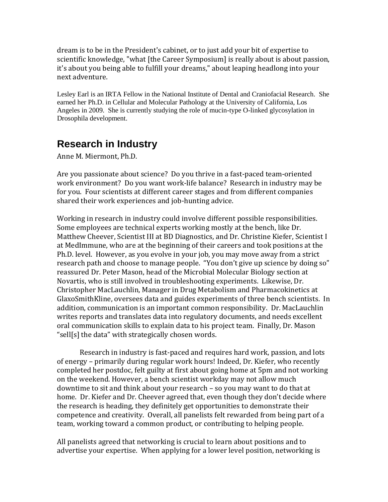dream is to be in the President's cabinet, or to just add your bit of expertise to scientific knowledge, "what [the Career Symposium] is really about is about passion, it's about you being able to fulfill your dreams," about leaping headlong into your next adventure.

Lesley Earl is an IRTA Fellow in the National Institute of Dental and Craniofacial Research. She earned her Ph.D. in Cellular and Molecular Pathology at the University of California, Los Angeles in 2009. She is currently studying the role of mucin-type O-linked glycosylation in Drosophila development.

## **Research in Industry**

Anne M. Miermont, Ph.D.

Are you passionate about science? Do you thrive in a fast-paced team-oriented work environment? Do you want work-life balance? Research in industry may be for you. Four scientists at different career stages and from different companies shared their work experiences and job-hunting advice.

Working in research in industry could involve different possible responsibilities. Some employees are technical experts working mostly at the bench, like Dr. Matthew Cheever, Scientist III at BD Diagnostics, and Dr. Christine Kiefer, Scientist I at MedImmune, who are at the beginning of their careers and took positions at the Ph.D. level. However, as you evolve in your job, you may move away from a strict research path and choose to manage people. "You don't give up science by doing so" reassured Dr. Peter Mason, head of the Microbial Molecular Biology section at Novartis, who is still involved in troubleshooting experiments. Likewise, Dr. Christopher MacLauchlin, Manager in Drug Metabolism and Pharmacokinetics at GlaxoSmithKline, oversees data and guides experiments of three bench scientists. In addition, communication is an important common responsibility. Dr. MacLauchlin writes reports and translates data into regulatory documents, and needs excellent oral communication skills to explain data to his project team. Finally, Dr. Mason "sell[s] the data" with strategically chosen words.

Research in industry is fast-paced and requires hard work, passion, and lots of energy – primarily during regular work hours! Indeed, Dr. Kiefer, who recently completed her postdoc, felt guilty at first about going home at 5pm and not working on the weekend. However, a bench scientist workday may not allow much downtime to sit and think about your research – so you may want to do that at home. Dr. Kiefer and Dr. Cheever agreed that, even though they don't decide where the research is heading, they definitely get opportunities to demonstrate their competence and creativity. Overall, all panelists felt rewarded from being part of a team, working toward a common product, or contributing to helping people.

All panelists agreed that networking is crucial to learn about positions and to advertise your expertise. When applying for a lower level position, networking is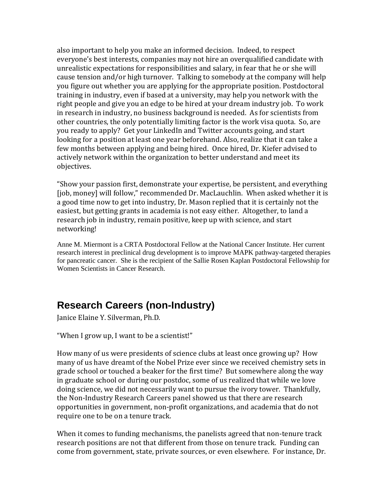also important to help you make an informed decision. Indeed, to respect everyone's best interests, companies may not hire an overqualified candidate with unrealistic expectations for responsibilities and salary, in fear that he or she will cause tension and/or high turnover. Talking to somebody at the company will help you figure out whether you are applying for the appropriate position. Postdoctoral training in industry, even if based at a university, may help you network with the right people and give you an edge to be hired at your dream industry job. To work in research in industry, no business background is needed. As for scientists from other countries, the only potentially limiting factor is the work visa quota. So, are you ready to apply? Get your LinkedIn and Twitter accounts going, and start looking for a position at least one year beforehand. Also, realize that it can take a few months between applying and being hired. Once hired, Dr. Kiefer advised to actively network within the organization to better understand and meet its objectives.

"Show your passion first, demonstrate your expertise, be persistent, and everything [job, money] will follow," recommended Dr. MacLauchlin. When asked whether it is a good time now to get into industry, Dr. Mason replied that it is certainly not the easiest, but getting grants in academia is not easy either. Altogether, to land a research job in industry, remain positive, keep up with science, and start networking!

Anne M. Miermont is a CRTA Postdoctoral Fellow at the National Cancer Institute. Her current research interest in preclinical drug development is to improve MAPK pathway-targeted therapies for pancreatic cancer. She is the recipient of the Sallie Rosen Kaplan Postdoctoral Fellowship for Women Scientists in Cancer Research.

## **Research Careers (non-Industry)**

Janice Elaine Y. Silverman, Ph.D.

"When I grow up, I want to be a scientist!"

How many of us were presidents of science clubs at least once growing up? How many of us have dreamt of the Nobel Prize ever since we received chemistry sets in grade school or touched a beaker for the first time? But somewhere along the way in graduate school or during our postdoc, some of us realized that while we love doing science, we did not necessarily want to pursue the ivory tower. Thankfully, the Non-Industry Research Careers panel showed us that there are research opportunities in government, non-profit organizations, and academia that do not require one to be on a tenure track.

When it comes to funding mechanisms, the panelists agreed that non-tenure track research positions are not that different from those on tenure track. Funding can come from government, state, private sources, or even elsewhere. For instance, Dr.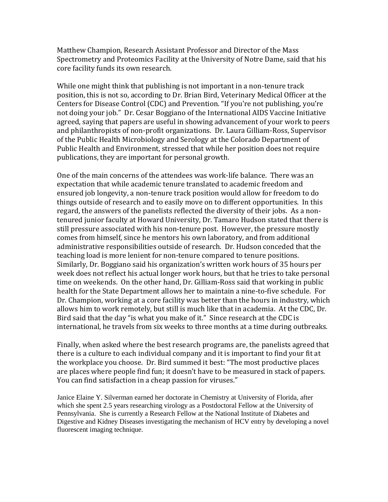Matthew Champion, Research Assistant Professor and Director of the Mass Spectrometry and Proteomics Facility at the University of Notre Dame, said that his core facility funds its own research.

While one might think that publishing is not important in a non-tenure track position, this is not so, according to Dr. Brian Bird, Veterinary Medical Officer at the Centers for Disease Control (CDC) and Prevention. "If you're not publishing, you're not doing your job." Dr. Cesar Boggiano of the International AIDS Vaccine Initiative agreed, saying that papers are useful in showing advancement of your work to peers and philanthropists of non-profit organizations. Dr. Laura Gilliam-Ross, Supervisor of the Public Health Microbiology and Serology at the Colorado Department of Public Health and Environment, stressed that while her position does not require publications, they are important for personal growth.

One of the main concerns of the attendees was work-life balance. There was an expectation that while academic tenure translated to academic freedom and ensured job longevity, a non-tenure track position would allow for freedom to do things outside of research and to easily move on to different opportunities. In this regard, the answers of the panelists reflected the diversity of their jobs. As a nontenured junior faculty at Howard University, Dr. Tamaro Hudson stated that there is still pressure associated with his non-tenure post. However, the pressure mostly comes from himself, since he mentors his own laboratory, and from additional administrative responsibilities outside of research. Dr. Hudson conceded that the teaching load is more lenient for non-tenure compared to tenure positions. Similarly, Dr. Boggiano said his organization's written work hours of 35 hours per week does not reflect his actual longer work hours, but that he tries to take personal time on weekends. On the other hand, Dr. Gilliam-Ross said that working in public health for the State Department allows her to maintain a nine-to-five schedule. For Dr. Champion, working at a core facility was better than the hours in industry, which allows him to work remotely, but still is much like that in academia. At the CDC, Dr. Bird said that the day "is what you make of it." Since research at the CDC is international, he travels from six weeks to three months at a time during outbreaks.

Finally, when asked where the best research programs are, the panelists agreed that there is a culture to each individual company and it is important to find your fit at the workplace you choose. Dr. Bird summed it best: "The most productive places are places where people find fun; it doesn't have to be measured in stack of papers. You can find satisfaction in a cheap passion for viruses."

Janice Elaine Y. Silverman earned her doctorate in Chemistry at University of Florida, after which she spent 2.5 years researching virology as a Postdoctoral Fellow at the University of Pennsylvania. She is currently a Research Fellow at the National Institute of Diabetes and Digestive and Kidney Diseases investigating the mechanism of HCV entry by developing a novel fluorescent imaging technique.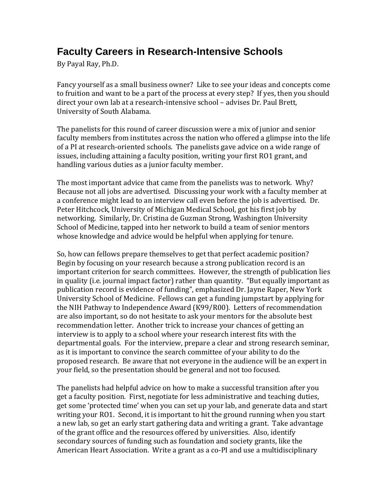## **Faculty Careers in Research-Intensive Schools**

By Payal Ray, Ph.D.

Fancy yourself as a small business owner? Like to see your ideas and concepts come to fruition and want to be a part of the process at every step? If yes, then you should direct your own lab at a research-intensive school – advises Dr. Paul Brett, University of South Alabama.

The panelists for this round of career discussion were a mix of junior and senior faculty members from institutes across the nation who offered a glimpse into the life of a PI at research-oriented schools. The panelists gave advice on a wide range of issues, including attaining a faculty position, writing your first RO1 grant, and handling various duties as a junior faculty member.

The most important advice that came from the panelists was to network. Why? Because not all jobs are advertised. Discussing your work with a faculty member at a conference might lead to an interview call even before the job is advertised. Dr. Peter Hitchcock, University of Michigan Medical School, got his first job by networking. Similarly, Dr. Cristina de Guzman Strong, Washington University School of Medicine, tapped into her network to build a team of senior mentors whose knowledge and advice would be helpful when applying for tenure.

So, how can fellows prepare themselves to get that perfect academic position? Begin by focusing on your research because a strong publication record is an important criterion for search committees. However, the strength of publication lies in quality (i.e. journal impact factor) rather than quantity. "But equally important as publication record is evidence of funding", emphasized Dr. Jayne Raper, New York University School of Medicine. Fellows can get a funding jumpstart by applying for the NIH Pathway to Independence Award (K99/R00). Letters of recommendation are also important, so do not hesitate to ask your mentors for the absolute best recommendation letter. Another trick to increase your chances of getting an interview is to apply to a school where your research interest fits with the departmental goals. For the interview, prepare a clear and strong research seminar, as it is important to convince the search committee of your ability to do the proposed research. Be aware that not everyone in the audience will be an expert in your field, so the presentation should be general and not too focused.

The panelists had helpful advice on how to make a successful transition after you get a faculty position. First, negotiate for less administrative and teaching duties, get some 'protected time' when you can set up your lab, and generate data and start writing your RO1. Second, it is important to hit the ground running when you start a new lab, so get an early start gathering data and writing a grant. Take advantage of the grant office and the resources offered by universities. Also, identify secondary sources of funding such as foundation and society grants, like the American Heart Association. Write a grant as a co-PI and use a multidisciplinary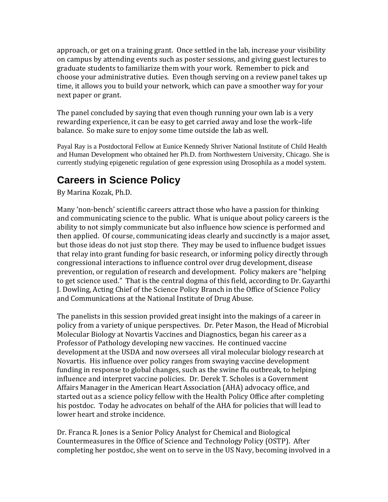approach, or get on a training grant. Once settled in the lab, increase your visibility on campus by attending events such as poster sessions, and giving guest lectures to graduate students to familiarize them with your work. Remember to pick and choose your administrative duties. Even though serving on a review panel takes up time, it allows you to build your network, which can pave a smoother way for your next paper or grant.

The panel concluded by saying that even though running your own lab is a very rewarding experience, it can be easy to get carried away and lose the work–life balance. So make sure to enjoy some time outside the lab as well.

Payal Ray is a Postdoctoral Fellow at Eunice Kennedy Shriver National Institute of Child Health and Human Development who obtained her Ph.D. from Northwestern University, Chicago. She is currently studying epigenetic regulation of gene expression using Drosophila as a model system.

# **Careers in Science Policy**

By Marina Kozak, Ph.D.

Many 'non-bench' scientific careers attract those who have a passion for thinking and communicating science to the public. What is unique about policy careers is the ability to not simply communicate but also influence how science is performed and then applied. Of course, communicating ideas clearly and succinctly is a major asset, but those ideas do not just stop there. They may be used to influence budget issues that relay into grant funding for basic research, or informing policy directly through congressional interactions to influence control over drug development, disease prevention, or regulation of research and development. Policy makers are "helping to get science used." That is the central dogma of this field, according to Dr. Gayarthi J. Dowling, Acting Chief of the Science Policy Branch in the Office of Science Policy and Communications at the National Institute of Drug Abuse.

The panelists in this session provided great insight into the makings of a career in policy from a variety of unique perspectives. Dr. Peter Mason, the Head of Microbial Molecular Biology at Novartis Vaccines and Diagnostics, began his career as a Professor of Pathology developing new vaccines. He continued vaccine development at the USDA and now oversees all viral molecular biology research at Novartis. His influence over policy ranges from swaying vaccine development funding in response to global changes, such as the swine flu outbreak, to helping influence and interpret vaccine policies. Dr. Derek T. Scholes is a Government Affairs Manager in the American Heart Association (AHA) advocacy office, and started out as a science policy fellow with the Health Policy Office after completing his postdoc. Today he advocates on behalf of the AHA for policies that will lead to lower heart and stroke incidence.

Dr. Franca R. Jones is a Senior Policy Analyst for Chemical and Biological Countermeasures in the Office of Science and Technology Policy (OSTP). After completing her postdoc, she went on to serve in the US Navy, becoming involved in a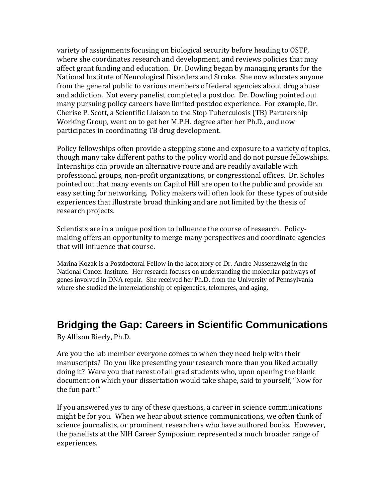variety of assignments focusing on biological security before heading to OSTP, where she coordinates research and development, and reviews policies that may affect grant funding and education. Dr. Dowling began by managing grants for the National Institute of Neurological Disorders and Stroke. She now educates anyone from the general public to various members of federal agencies about drug abuse and addiction. Not every panelist completed a postdoc. Dr. Dowling pointed out many pursuing policy careers have limited postdoc experience. For example, Dr. Cherise P. Scott, a Scientific Liaison to the Stop Tuberculosis (TB) Partnership Working Group, went on to get her M.P.H. degree after her Ph.D., and now participates in coordinating TB drug development.

Policy fellowships often provide a stepping stone and exposure to a variety of topics, though many take different paths to the policy world and do not pursue fellowships. Internships can provide an alternative route and are readily available with professional groups, non-profit organizations, or congressional offices. Dr. Scholes pointed out that many events on Capitol Hill are open to the public and provide an easy setting for networking. Policy makers will often look for these types of outside experiences that illustrate broad thinking and are not limited by the thesis of research projects.

Scientists are in a unique position to influence the course of research. Policymaking offers an opportunity to merge many perspectives and coordinate agencies that will influence that course.

Marina Kozak is a Postdoctoral Fellow in the laboratory of Dr. Andre Nussenzweig in the National Cancer Institute. Her research focuses on understanding the molecular pathways of genes involved in DNA repair. She received her Ph.D. from the University of Pennsylvania where she studied the interrelationship of epigenetics, telomeres, and aging.

## **Bridging the Gap: Careers in Scientific Communications**

By Allison Bierly, Ph.D.

Are you the lab member everyone comes to when they need help with their manuscripts? Do you like presenting your research more than you liked actually doing it? Were you that rarest of all grad students who, upon opening the blank document on which your dissertation would take shape, said to yourself, "Now for the fun part!"

If you answered yes to any of these questions, a career in science communications might be for you. When we hear about science communications, we often think of science journalists, or prominent researchers who have authored books. However, the panelists at the NIH Career Symposium represented a much broader range of experiences.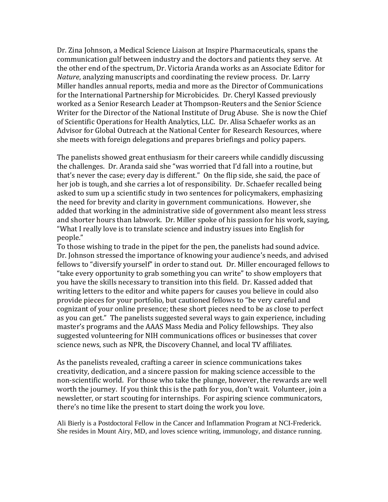Dr. Zina Johnson, a Medical Science Liaison at Inspire Pharmaceuticals, spans the communication gulf between industry and the doctors and patients they serve. At the other end of the spectrum, Dr. Victoria Aranda works as an Associate Editor for *Nature*, analyzing manuscripts and coordinating the review process. Dr. Larry Miller handles annual reports, media and more as the Director of Communications for the International Partnership for Microbicides. Dr. Cheryl Kassed previously worked as a Senior Research Leader at Thompson-Reuters and the Senior Science Writer for the Director of the National Institute of Drug Abuse. She is now the Chief of Scientific Operations for Health Analytics, LLC. Dr. Alisa Schaefer works as an Advisor for Global Outreach at the National Center for Research Resources, where she meets with foreign delegations and prepares briefings and policy papers.

The panelists showed great enthusiasm for their careers while candidly discussing the challenges. Dr. Aranda said she "was worried that I'd fall into a routine, but that's never the case; every day is different." On the flip side, she said, the pace of her job is tough, and she carries a lot of responsibility. Dr. Schaefer recalled being asked to sum up a scientific study in two sentences for policymakers, emphasizing the need for brevity and clarity in government communications. However, she added that working in the administrative side of government also meant less stress and shorter hours than labwork. Dr. Miller spoke of his passion for his work, saying, "What I really love is to translate science and industry issues into English for people."

To those wishing to trade in the pipet for the pen, the panelists had sound advice. Dr. Johnson stressed the importance of knowing your audience's needs, and advised fellows to "diversify yourself" in order to stand out. Dr. Miller encouraged fellows to "take every opportunity to grab something you can write" to show employers that you have the skills necessary to transition into this field. Dr. Kassed added that writing letters to the editor and white papers for causes you believe in could also provide pieces for your portfolio, but cautioned fellows to "be very careful and cognizant of your online presence; these short pieces need to be as close to perfect as you can get." The panelists suggested several ways to gain experience, including master's programs and the AAAS Mass Media and Policy fellowships. They also suggested volunteering for NIH communications offices or businesses that cover science news, such as NPR, the Discovery Channel, and local TV affiliates.

As the panelists revealed, crafting a career in science communications takes creativity, dedication, and a sincere passion for making science accessible to the non-scientific world. For those who take the plunge, however, the rewards are well worth the journey. If you think this is the path for you, don't wait. Volunteer, join a newsletter, or start scouting for internships. For aspiring science communicators, there's no time like the present to start doing the work you love.

Ali Bierly is a Postdoctoral Fellow in the Cancer and Inflammation Program at NCI-Frederick. She resides in Mount Airy, MD, and loves science writing, immunology, and distance running.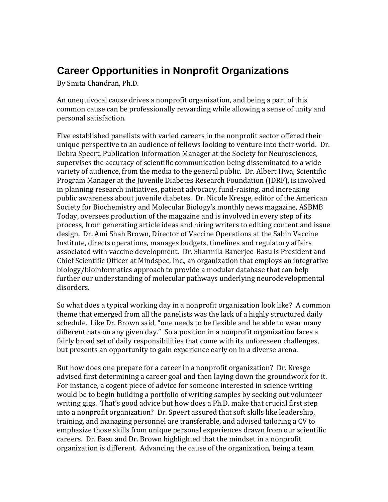## **Career Opportunities in Nonprofit Organizations**

By Smita Chandran, Ph.D.

An unequivocal cause drives a nonprofit organization, and being a part of this common cause can be professionally rewarding while allowing a sense of unity and personal satisfaction.

Five established panelists with varied careers in the nonprofit sector offered their unique perspective to an audience of fellows looking to venture into their world. Dr. Debra Speert, Publication Information Manager at the Society for Neurosciences, supervises the accuracy of scientific communication being disseminated to a wide variety of audience, from the media to the general public. Dr. Albert Hwa, Scientific Program Manager at the Juvenile Diabetes Research Foundation (JDRF), is involved in planning research initiatives, patient advocacy, fund-raising, and increasing public awareness about juvenile diabetes. Dr. Nicole Kresge, editor of the American Society for Biochemistry and Molecular Biology's monthly news magazine, ASBMB Today, oversees production of the magazine and is involved in every step of its process, from generating article ideas and hiring writers to editing content and issue design. Dr. Ami Shah Brown, Director of Vaccine Operations at the Sabin Vaccine Institute, directs operations, manages budgets, timelines and regulatory affairs associated with vaccine development. Dr. Sharmila Banerjee-Basu is President and Chief Scientific Officer at Mindspec, Inc., an organization that employs an integrative biology/bioinformatics approach to provide a modular database that can help further our understanding of molecular pathways underlying neurodevelopmental disorders.

So what does a typical working day in a nonprofit organization look like? A common theme that emerged from all the panelists was the lack of a highly structured daily schedule. Like Dr. Brown said, "one needs to be flexible and be able to wear many different hats on any given day." So a position in a nonprofit organization faces a fairly broad set of daily responsibilities that come with its unforeseen challenges, but presents an opportunity to gain experience early on in a diverse arena.

But how does one prepare for a career in a nonprofit organization? Dr. Kresge advised first determining a career goal and then laying down the groundwork for it. For instance, a cogent piece of advice for someone interested in science writing would be to begin building a portfolio of writing samples by seeking out volunteer writing gigs. That's good advice but how does a Ph.D. make that crucial first step into a nonprofit organization? Dr. Speert assured that soft skills like leadership, training, and managing personnel are transferable, and advised tailoring a CV to emphasize those skills from unique personal experiences drawn from our scientific careers. Dr. Basu and Dr. Brown highlighted that the mindset in a nonprofit organization is different. Advancing the cause of the organization, being a team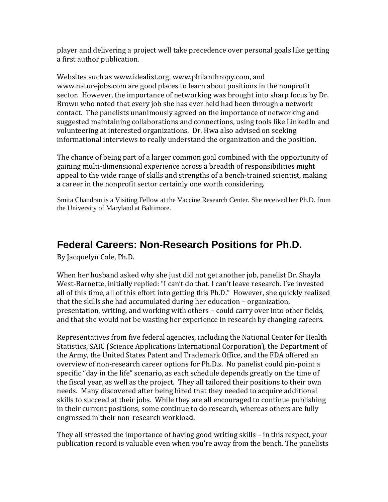player and delivering a project well take precedence over personal goals like getting a first author publication.

Websites such as www.idealist.org, www.philanthropy.com, and www.naturejobs.com are good places to learn about positions in the nonprofit sector. However, the importance of networking was brought into sharp focus by Dr. Brown who noted that every job she has ever held had been through a network contact. The panelists unanimously agreed on the importance of networking and suggested maintaining collaborations and connections, using tools like LinkedIn and volunteering at interested organizations. Dr. Hwa also advised on seeking informational interviews to really understand the organization and the position.

The chance of being part of a larger common goal combined with the opportunity of gaining multi-dimensional experience across a breadth of responsibilities might appeal to the wide range of skills and strengths of a bench-trained scientist, making a career in the nonprofit sector certainly one worth considering.

Smita Chandran is a Visiting Fellow at the Vaccine Research Center. She received her Ph.D. from the University of Maryland at Baltimore.

#### **Federal Careers: Non-Research Positions for Ph.D.**

By Jacquelyn Cole, Ph.D.

When her husband asked why she just did not get another job, panelist Dr. Shayla West-Barnette, initially replied: "I can't do that. I can't leave research. I've invested all of this time, all of this effort into getting this Ph.D." However, she quickly realized that the skills she had accumulated during her education – organization, presentation, writing, and working with others – could carry over into other fields, and that she would not be wasting her experience in research by changing careers.

Representatives from five federal agencies, including the National Center for Health Statistics, SAIC (Science Applications International Corporation), the Department of the Army, the United States Patent and Trademark Office, and the FDA offered an overview of non-research career options for Ph.D.s. No panelist could pin-point a specific "day in the life" scenario, as each schedule depends greatly on the time of the fiscal year, as well as the project. They all tailored their positions to their own needs. Many discovered after being hired that they needed to acquire additional skills to succeed at their jobs. While they are all encouraged to continue publishing in their current positions, some continue to do research, whereas others are fully engrossed in their non-research workload.

They all stressed the importance of having good writing skills – in this respect, your publication record is valuable even when you're away from the bench. The panelists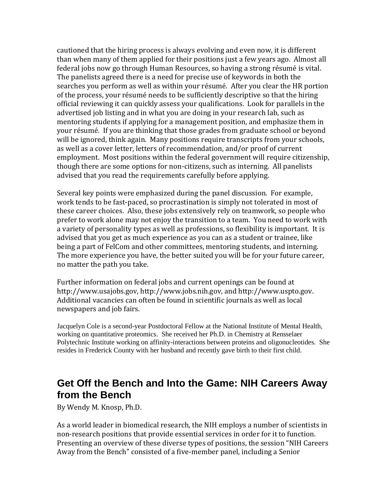cautioned that the hiring process is always evolving and even now, it is different than when many of them applied for their positions just a few years ago. Almost all federal jobs now go through Human Resources, so having a strong résumé is vital. The panelists agreed there is a need for precise use of keywords in both the searches you perform as well as within your résumé. After you clear the HR portion of the process, your résumé needs to be sufficiently descriptive so that the hiring official reviewing it can quickly assess your qualifications. Look for parallels in the advertised job listing and in what you are doing in your research lab, such as mentoring students if applying for a management position, and emphasize them in your résumé. If you are thinking that those grades from graduate school or beyond will be ignored, think again. Many positions require transcripts from your schools, as well as a cover letter, letters of recommendation, and/or proof of current employment. Most positions within the federal government will require citizenship, though there are some options for non-citizens, such as interning. All panelists advised that you read the requirements carefully before applying.

Several key points were emphasized during the panel discussion. For example, work tends to be fast-paced, so procrastination is simply not tolerated in most of these career choices. Also, these jobs extensively rely on teamwork, so people who prefer to work alone may not enjoy the transition to a team. You need to work with a variety of personality types as well as professions, so flexibility is important. It is advised that you get as much experience as you can as a student or trainee, like being a part of FelCom and other committees, mentoring students, and interning. The more experience you have, the better suited you will be for your future career, no matter the path you take.

Further information on federal jobs and current openings can be found at http://www.usajobs.gov, http://www.jobs.nih.gov, and http://www.uspto.gov. Additional vacancies can often be found in scientific journals as well as local newspapers and job fairs.

Jacquelyn Cole is a second-year Postdoctoral Fellow at the National Institute of Mental Health, working on quantitative proteomics. She received her Ph.D. in Chemistry at Rensselaer Polytechnic Institute working on affinity-interactions between proteins and oligonucleotides. She resides in Frederick County with her husband and recently gave birth to their first child.

#### **Get Off the Bench and Into the Game: NIH Careers Away from the Bench**

By Wendy M. Knosp, Ph.D.

As a world leader in biomedical research, the NIH employs a number of scientists in non-research positions that provide essential services in order for it to function. Presenting an overview of these diverse types of positions, the session "NIH Careers Away from the Bench" consisted of a five-member panel, including a Senior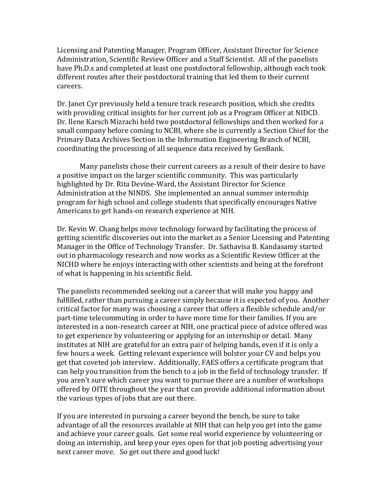Licensing and Patenting Manager, Program Officer, Assistant Director for Science Administration, Scientific Review Officer and a Staff Scientist. All of the panelists have Ph.D.s and completed at least one postdoctoral fellowship, although each took different routes after their postdoctoral training that led them to their current careers.

Dr. Janet Cyr previously held a tenure track research position, which she credits with providing critical insights for her current job as a Program Officer at NIDCD. Dr. Ilene Karsch Mizrachi held two postdoctoral fellowships and then worked for a small company before coming to NCBI, where she is currently a Section Chief for the Primary Data Archives Section in the Information Engineering Branch of NCBI, coordinating the processing of all sequence data received by GenBank.

Many panelists chose their current careers as a result of their desire to have a positive impact on the larger scientific community. This was particularly highlighted by Dr. Rita Devine-Ward, the Assistant Director for Science Administration at the NINDS. She implemented an annual summer internship program for high school and college students that specifically encourages Native Americans to get hands-on research experience at NIH.

Dr. Kevin W. Chang helps move technology forward by facilitating the process of getting scientific discoveries out into the market as a Senior Licensing and Patenting Manager in the Office of Technology Transfer. Dr. Sathavisa B. Kandasamy started out in pharmacology research and now works as a Scientific Review Officer at the NICHD where he enjoys interacting with other scientists and being at the forefront of what is happening in his scientific field.

The panelists recommended seeking out a career that will make you happy and fulfilled, rather than pursuing a career simply because it is expected of you. Another critical factor for many was choosing a career that offers a flexible schedule and/or part-time telecommuting in order to have more time for their families. If you are interested in a non-research career at NIH, one practical piece of advice offered was to get experience by volunteering or applying for an internship or detail. Many institutes at NIH are grateful for an extra pair of helping hands, even if it is only a few hours a week. Getting relevant experience will bolster your CV and helps you get that coveted job interview. Additionally, FAES offers a certificate program that can help you transition from the bench to a job in the field of technology transfer. If you aren't sure which career you want to pursue there are a number of workshops offered by OITE throughout the year that can provide additional information about the various types of jobs that are out there.

If you are interested in pursuing a career beyond the bench, be sure to take advantage of all the resources available at NIH that can help you get into the game and achieve your career goals. Get some real world experience by volunteering or doing an internship, and keep your eyes open for that job posting advertising your next career move. So get out there and good luck!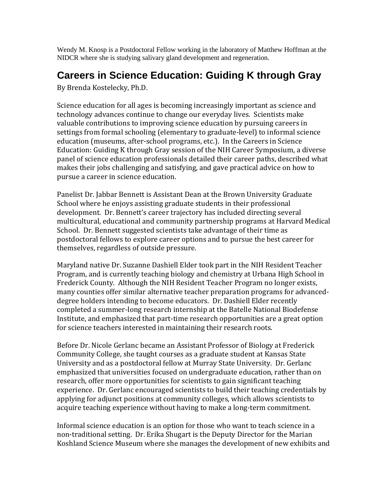Wendy M. Knosp is a Postdoctoral Fellow working in the laboratory of Matthew Hoffman at the NIDCR where she is studying salivary gland development and regeneration.

## **Careers in Science Education: Guiding K through Gray**

By Brenda Kostelecky, Ph.D.

Science education for all ages is becoming increasingly important as science and technology advances continue to change our everyday lives. Scientists make valuable contributions to improving science education by pursuing careers in settings from formal schooling (elementary to graduate-level) to informal science education (museums, after-school programs, etc.). In the Careers in Science Education: Guiding K through Gray session of the NIH Career Symposium, a diverse panel of science education professionals detailed their career paths, described what makes their jobs challenging and satisfying, and gave practical advice on how to pursue a career in science education.

Panelist Dr. Jabbar Bennett is Assistant Dean at the Brown University Graduate School where he enjoys assisting graduate students in their professional development. Dr. Bennett's career trajectory has included directing several multicultural, educational and community partnership programs at Harvard Medical School. Dr. Bennett suggested scientists take advantage of their time as postdoctoral fellows to explore career options and to pursue the best career for themselves, regardless of outside pressure.

Maryland native Dr. Suzanne Dashiell Elder took part in the NIH Resident Teacher Program, and is currently teaching biology and chemistry at Urbana High School in Frederick County. Although the NIH Resident Teacher Program no longer exists, many counties offer similar alternative teacher preparation programs for advanceddegree holders intending to become educators. Dr. Dashiell Elder recently completed a summer-long research internship at the Batelle National Biodefense Institute, and emphasized that part-time research opportunities are a great option for science teachers interested in maintaining their research roots.

Before Dr. Nicole Gerlanc became an Assistant Professor of Biology at Frederick Community College, she taught courses as a graduate student at Kansas State University and as a postdoctoral fellow at Murray State University. Dr. Gerlanc emphasized that universities focused on undergraduate education, rather than on research, offer more opportunities for scientists to gain significant teaching experience. Dr. Gerlanc encouraged scientists to build their teaching credentials by applying for adjunct positions at community colleges, which allows scientists to acquire teaching experience without having to make a long-term commitment.

Informal science education is an option for those who want to teach science in a non-traditional setting. Dr. Erika Shugart is the Deputy Director for the Marian Koshland Science Museum where she manages the development of new exhibits and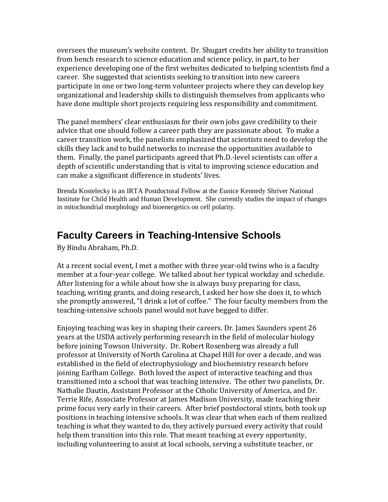oversees the museum's website content. Dr. Shugart credits her ability to transition from bench research to science education and science policy, in part, to her experience developing one of the first websites dedicated to helping scientists find a career. She suggested that scientists seeking to transition into new careers participate in one or two long-term volunteer projects where they can develop key organizational and leadership skills to distinguish themselves from applicants who have done multiple short projects requiring less responsibility and commitment.

The panel members' clear enthusiasm for their own jobs gave credibility to their advice that one should follow a career path they are passionate about. To make a career transition work, the panelists emphasized that scientists need to develop the skills they lack and to build networks to increase the opportunities available to them. Finally, the panel participants agreed that Ph.D.-level scientists can offer a depth of scientific understanding that is vital to improving science education and can make a significant difference in students' lives.

Brenda Kostelecky is an IRTA Postdoctoral Fellow at the Eunice Kennedy Shriver National Institute for Child Health and Human Development. She currently studies the impact of changes in mitochondrial morphology and bioenergetics on cell polarity.

#### **Faculty Careers in Teaching-Intensive Schools**

By Bindu Abraham, Ph.D.

At a recent social event, I met a mother with three year-old twins who is a faculty member at a four-year college. We talked about her typical workday and schedule. After listening for a while about how she is always busy preparing for class, teaching, writing grants, and doing research, I asked her how she does it, to which she promptly answered, "I drink a lot of coffee." The four faculty members from the teaching-intensive schools panel would not have begged to differ.

Enjoying teaching was key in shaping their careers. Dr. James Saunders spent 26 years at the USDA actively performing research in the field of molecular biology before joining Towson University. Dr. Robert Rosenberg was already a full professor at University of North Carolina at Chapel Hill for over a decade, and was established in the field of electrophysiology and biochemistry research before joining Earlham College. Both loved the aspect of interactive teaching and thus transitioned into a school that was teaching intensive. The other two panelists, Dr. Nathalie Dautin, Assistant Professor at the Ctholic University of America, and Dr. Terrie Rife, Associate Professor at James Madison University, made teaching their prime focus very early in their careers. After brief postdoctoral stints, both took up positions in teaching intensive schools. It was clear that when each of them realized teaching is what they wanted to do, they actively pursued every activity that could help them transition into this role. That meant teaching at every opportunity, including volunteering to assist at local schools, serving a substitute teacher, or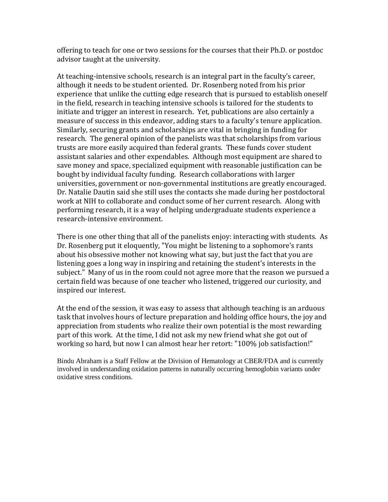offering to teach for one or two sessions for the courses that their Ph.D. or postdoc advisor taught at the university.

At teaching-intensive schools, research is an integral part in the faculty's career, although it needs to be student oriented. Dr. Rosenberg noted from his prior experience that unlike the cutting edge research that is pursued to establish oneself in the field, research in teaching intensive schools is tailored for the students to initiate and trigger an interest in research. Yet, publications are also certainly a measure of success in this endeavor, adding stars to a faculty's tenure application. Similarly, securing grants and scholarships are vital in bringing in funding for research. The general opinion of the panelists was that scholarships from various trusts are more easily acquired than federal grants. These funds cover student assistant salaries and other expendables. Although most equipment are shared to save money and space, specialized equipment with reasonable justification can be bought by individual faculty funding. Research collaborations with larger universities, government or non-governmental institutions are greatly encouraged. Dr. Natalie Dautin said she still uses the contacts she made during her postdoctoral work at NIH to collaborate and conduct some of her current research. Along with performing research, it is a way of helping undergraduate students experience a research-intensive environment.

There is one other thing that all of the panelists enjoy: interacting with students. As Dr. Rosenberg put it eloquently, "You might be listening to a sophomore's rants about his obsessive mother not knowing what say, but just the fact that you are listening goes a long way in inspiring and retaining the student's interests in the subject." Many of us in the room could not agree more that the reason we pursued a certain field was because of one teacher who listened, triggered our curiosity, and inspired our interest.

At the end of the session, it was easy to assess that although teaching is an arduous task that involves hours of lecture preparation and holding office hours, the joy and appreciation from students who realize their own potential is the most rewarding part of this work. At the time, I did not ask my new friend what she got out of working so hard, but now I can almost hear her retort: "100% job satisfaction!"

Bindu Abraham is a Staff Fellow at the Division of Hematology at CBER/FDA and is currently involved in understanding oxidation patterns in naturally occurring hemoglobin variants under oxidative stress conditions.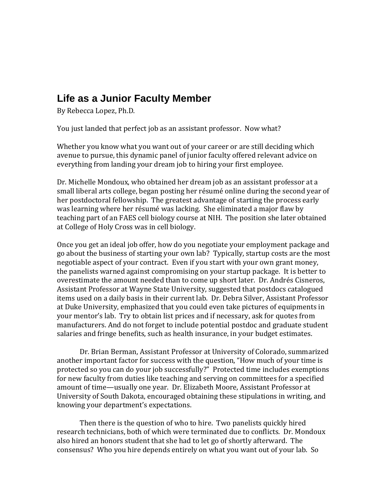#### **Life as a Junior Faculty Member**

By Rebecca Lopez, Ph.D.

You just landed that perfect job as an assistant professor. Now what?

Whether you know what you want out of your career or are still deciding which avenue to pursue, this dynamic panel of junior faculty offered relevant advice on everything from landing your dream job to hiring your first employee.

Dr. Michelle Mondoux, who obtained her dream job as an assistant professor at a small liberal arts college, began posting her résumé online during the second year of her postdoctoral fellowship. The greatest advantage of starting the process early was learning where her résumé was lacking. She eliminated a major flaw by teaching part of an FAES cell biology course at NIH. The position she later obtained at College of Holy Cross was in cell biology.

Once you get an ideal job offer, how do you negotiate your employment package and go about the business of starting your own lab? Typically, startup costs are the most negotiable aspect of your contract. Even if you start with your own grant money, the panelists warned against compromising on your startup package. It is better to overestimate the amount needed than to come up short later. Dr. Andrés Cisneros, Assistant Professor at Wayne State University, suggested that postdocs catalogued items used on a daily basis in their current lab. Dr. Debra Silver, Assistant Professor at Duke University, emphasized that you could even take pictures of equipments in your mentor's lab. Try to obtain list prices and if necessary, ask for quotes from manufacturers. And do not forget to include potential postdoc and graduate student salaries and fringe benefits, such as health insurance, in your budget estimates.

Dr. Brian Berman, Assistant Professor at University of Colorado, summarized another important factor for success with the question, "How much of your time is protected so you can do your job successfully?" Protected time includes exemptions for new faculty from duties like teaching and serving on committees for a specified amount of time—usually one year. Dr. Elizabeth Moore, Assistant Professor at University of South Dakota, encouraged obtaining these stipulations in writing, and knowing your department's expectations.

Then there is the question of who to hire. Two panelists quickly hired research technicians, both of which were terminated due to conflicts. Dr. Mondoux also hired an honors student that she had to let go of shortly afterward. The consensus? Who you hire depends entirely on what you want out of your lab. So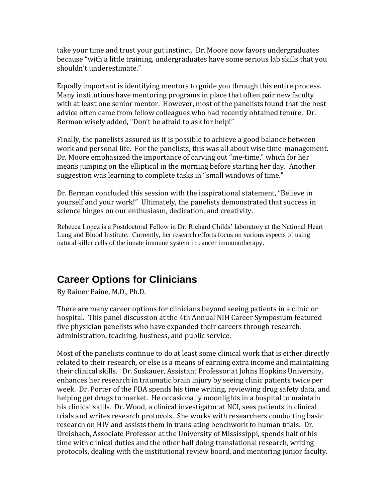take your time and trust your gut instinct. Dr. Moore now favors undergraduates because "with a little training, undergraduates have some serious lab skills that you shouldn't underestimate."

Equally important is identifying mentors to guide you through this entire process. Many institutions have mentoring programs in place that often pair new faculty with at least one senior mentor. However, most of the panelists found that the best advice often came from fellow colleagues who had recently obtained tenure. Dr. Berman wisely added, "Don't be afraid to ask for help!"

Finally, the panelists assured us it is possible to achieve a good balance between work and personal life. For the panelists, this was all about wise time-management. Dr. Moore emphasized the importance of carving out "me-time," which for her means jumping on the elliptical in the morning before starting her day. Another suggestion was learning to complete tasks in "small windows of time."

Dr. Berman concluded this session with the inspirational statement, "Believe in yourself and your work!" Ultimately, the panelists demonstrated that success in science hinges on our enthusiasm, dedication, and creativity.

Rebecca Lopez is a Postdoctoral Fellow in Dr. Richard Childs' laboratory at the National Heart Lung and Blood Institute. Currently, her research efforts focus on various aspects of using natural killer cells of the innate immune system in cancer immunotherapy.

## **Career Options for Clinicians**

By Rainer Paine, M.D., Ph.D.

There are many career options for clinicians beyond seeing patients in a clinic or hospital. This panel discussion at the 4th Annual NIH Career Symposium featured five physician panelists who have expanded their careers through research, administration, teaching, business, and public service.

Most of the panelists continue to do at least some clinical work that is either directly related to their research, or else is a means of earning extra income and maintaining their clinical skills. Dr. Suskauer, Assistant Professor at Johns Hopkins University, enhances her research in traumatic brain injury by seeing clinic patients twice per week. Dr. Porter of the FDA spends his time writing, reviewing drug safety data, and helping get drugs to market. He occasionally moonlights in a hospital to maintain his clinical skills. Dr. Wood, a clinical investigator at NCI, sees patients in clinical trials and writes research protocols. She works with researchers conducting basic research on HIV and assists them in translating benchwork to human trials. Dr. Dreisbach, Associate Professor at the University of Mississippi, spends half of his time with clinical duties and the other half doing translational research, writing protocols, dealing with the institutional review board, and mentoring junior faculty.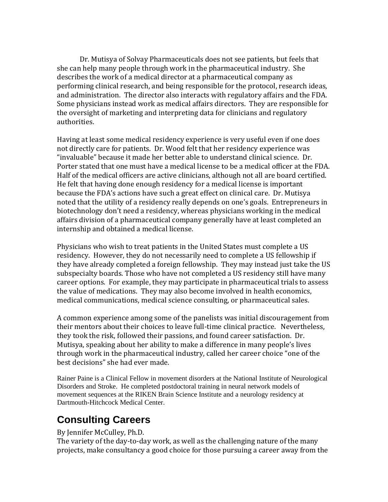Dr. Mutisya of Solvay Pharmaceuticals does not see patients, but feels that she can help many people through work in the pharmaceutical industry. She describes the work of a medical director at a pharmaceutical company as performing clinical research, and being responsible for the protocol, research ideas, and administration. The director also interacts with regulatory affairs and the FDA. Some physicians instead work as medical affairs directors. They are responsible for the oversight of marketing and interpreting data for clinicians and regulatory authorities.

Having at least some medical residency experience is very useful even if one does not directly care for patients. Dr. Wood felt that her residency experience was "invaluable" because it made her better able to understand clinical science. Dr. Porter stated that one must have a medical license to be a medical officer at the FDA. Half of the medical officers are active clinicians, although not all are board certified. He felt that having done enough residency for a medical license is important because the FDA's actions have such a great effect on clinical care. Dr. Mutisya noted that the utility of a residency really depends on one's goals. Entrepreneurs in biotechnology don't need a residency, whereas physicians working in the medical affairs division of a pharmaceutical company generally have at least completed an internship and obtained a medical license.

Physicians who wish to treat patients in the United States must complete a US residency. However, they do not necessarily need to complete a US fellowship if they have already completed a foreign fellowship. They may instead just take the US subspecialty boards. Those who have not completed a US residency still have many career options. For example, they may participate in pharmaceutical trials to assess the value of medications. They may also become involved in health economics, medical communications, medical science consulting, or pharmaceutical sales.

A common experience among some of the panelists was initial discouragement from their mentors about their choices to leave full-time clinical practice. Nevertheless, they took the risk, followed their passions, and found career satisfaction. Dr. Mutisya, speaking about her ability to make a difference in many people's lives through work in the pharmaceutical industry, called her career choice "one of the best decisions" she had ever made.

Rainer Paine is a Clinical Fellow in movement disorders at the National Institute of Neurological Disorders and Stroke. He completed postdoctoral training in neural network models of movement sequences at the RIKEN Brain Science Institute and a neurology residency at Dartmouth-Hitchcock Medical Center.

#### **Consulting Careers**

#### By Jennifer McCulley, Ph.D.

The variety of the day-to-day work, as well as the challenging nature of the many projects, make consultancy a good choice for those pursuing a career away from the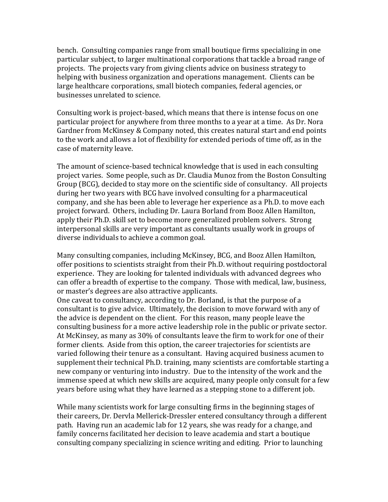bench. Consulting companies range from small boutique firms specializing in one particular subject, to larger multinational corporations that tackle a broad range of projects. The projects vary from giving clients advice on business strategy to helping with business organization and operations management. Clients can be large healthcare corporations, small biotech companies, federal agencies, or businesses unrelated to science.

Consulting work is project-based, which means that there is intense focus on one particular project for anywhere from three months to a year at a time. As Dr. Nora Gardner from McKinsey & Company noted, this creates natural start and end points to the work and allows a lot of flexibility for extended periods of time off, as in the case of maternity leave.

The amount of science-based technical knowledge that is used in each consulting project varies. Some people, such as Dr. Claudia Munoz from the Boston Consulting Group (BCG), decided to stay more on the scientific side of consultancy. All projects during her two years with BCG have involved consulting for a pharmaceutical company, and she has been able to leverage her experience as a Ph.D. to move each project forward. Others, including Dr. Laura Borland from Booz Allen Hamilton, apply their Ph.D. skill set to become more generalized problem solvers. Strong interpersonal skills are very important as consultants usually work in groups of diverse individuals to achieve a common goal.

Many consulting companies, including McKinsey, BCG, and Booz Allen Hamilton, offer positions to scientists straight from their Ph.D. without requiring postdoctoral experience. They are looking for talented individuals with advanced degrees who can offer a breadth of expertise to the company. Those with medical, law, business, or master's degrees are also attractive applicants.

One caveat to consultancy, according to Dr. Borland, is that the purpose of a consultant is to give advice. Ultimately, the decision to move forward with any of the advice is dependent on the client. For this reason, many people leave the consulting business for a more active leadership role in the public or private sector. At McKinsey, as many as 30% of consultants leave the firm to work for one of their former clients. Aside from this option, the career trajectories for scientists are varied following their tenure as a consultant. Having acquired business acumen to supplement their technical Ph.D. training, many scientists are comfortable starting a new company or venturing into industry. Due to the intensity of the work and the immense speed at which new skills are acquired, many people only consult for a few years before using what they have learned as a stepping stone to a different job.

While many scientists work for large consulting firms in the beginning stages of their careers, Dr. Dervla Mellerick-Dressler entered consultancy through a different path. Having run an academic lab for 12 years, she was ready for a change, and family concerns facilitated her decision to leave academia and start a boutique consulting company specializing in science writing and editing. Prior to launching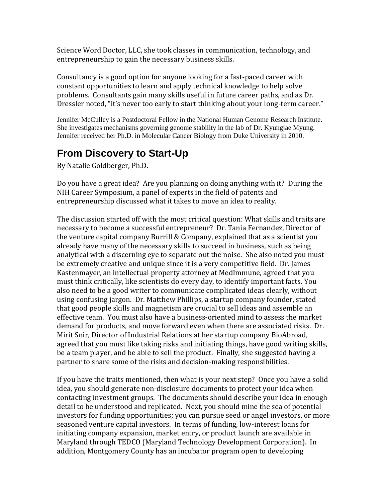Science Word Doctor, LLC, she took classes in communication, technology, and entrepreneurship to gain the necessary business skills.

Consultancy is a good option for anyone looking for a fast-paced career with constant opportunities to learn and apply technical knowledge to help solve problems. Consultants gain many skills useful in future career paths, and as Dr. Dressler noted, "it's never too early to start thinking about your long-term career."

Jennifer McCulley is a Postdoctoral Fellow in the National Human Genome Research Institute. She investigates mechanisms governing genome stability in the lab of Dr. Kyungjae Myung. Jennifer received her Ph.D. in Molecular Cancer Biology from Duke University in 2010.

#### **From Discovery to Start-Up**

By Natalie Goldberger, Ph.D.

Do you have a great idea? Are you planning on doing anything with it? During the NIH Career Symposium, a panel of experts in the field of patents and entrepreneurship discussed what it takes to move an idea to reality.

The discussion started off with the most critical question: What skills and traits are necessary to become a successful entrepreneur? Dr. Tania Fernandez, Director of the venture capital company Burrill & Company, explained that as a scientist you already have many of the necessary skills to succeed in business, such as being analytical with a discerning eye to separate out the noise. She also noted you must be extremely creative and unique since it is a very competitive field. Dr. James Kastenmayer, an intellectual property attorney at MedImmune, agreed that you must think critically, like scientists do every day, to identify important facts. You also need to be a good writer to communicate complicated ideas clearly, without using confusing jargon. Dr. Matthew Phillips, a startup company founder, stated that good people skills and magnetism are crucial to sell ideas and assemble an effective team. You must also have a business-oriented mind to assess the market demand for products, and move forward even when there are associated risks. Dr. Mirit Snir, Director of Industrial Relations at her startup company BioAbroad, agreed that you must like taking risks and initiating things, have good writing skills, be a team player, and be able to sell the product. Finally, she suggested having a partner to share some of the risks and decision-making responsibilities.

If you have the traits mentioned, then what is your next step? Once you have a solid idea, you should generate non-disclosure documents to protect your idea when contacting investment groups. The documents should describe your idea in enough detail to be understood and replicated. Next, you should mine the sea of potential investors for funding opportunities; you can pursue seed or angel investors, or more seasoned venture capital investors. In terms of funding, low-interest loans for initiating company expansion, market entry, or product launch are available in Maryland through TEDCO (Maryland Technology Development Corporation). In addition, Montgomery County has an incubator program open to developing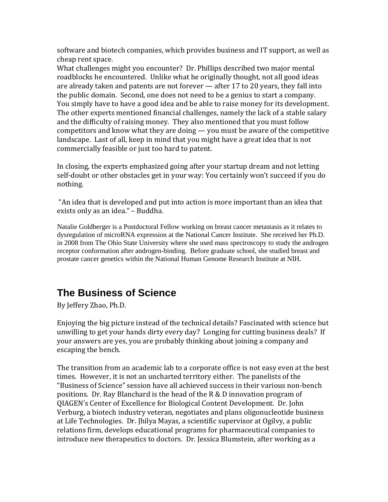software and biotech companies, which provides business and IT support, as well as cheap rent space.

What challenges might you encounter? Dr. Phillips described two major mental roadblocks he encountered. Unlike what he originally thought, not all good ideas are already taken and patents are not forever — after 17 to 20 years, they fall into the public domain. Second, one does not need to be a genius to start a company. You simply have to have a good idea and be able to raise money for its development. The other experts mentioned financial challenges, namely the lack of a stable salary and the difficulty of raising money. They also mentioned that you must follow competitors and know what they are doing — you must be aware of the competitive landscape. Last of all, keep in mind that you might have a great idea that is not commercially feasible or just too hard to patent.

In closing, the experts emphasized going after your startup dream and not letting self-doubt or other obstacles get in your way: You certainly won't succeed if you do nothing.

"An idea that is developed and put into action is more important than an idea that exists only as an idea." – Buddha.

Natalie Goldberger is a Postdoctoral Fellow working on breast cancer metastasis as it relates to dysregulation of microRNA expression at the National Cancer Institute. She received her Ph.D. in 2008 from The Ohio State University where she used mass spectroscopy to study the androgen receptor conformation after androgen-binding. Before graduate school, she studied breast and prostate cancer genetics within the National Human Genome Research Institute at NIH.

# **The Business of Science**

By Jeffery Zhao, Ph.D.

Enjoying the big picture instead of the technical details? Fascinated with science but unwilling to get your hands dirty every day? Longing for cutting business deals? If your answers are yes, you are probably thinking about joining a company and escaping the bench.

The transition from an academic lab to a corporate office is not easy even at the best times. However, it is not an uncharted territory either. The panelists of the "Business of Science" session have all achieved success in their various non-bench positions. Dr. Ray Blanchard is the head of the R & D innovation program of QIAGEN's Center of Excellence for Biological Content Development. Dr. John Verburg, a biotech industry veteran, negotiates and plans oligonucleotide business at Life Technologies. Dr. Jhilya Mayas, a scientific supervisor at Ogilvy, a public relations firm, develops educational programs for pharmaceutical companies to introduce new therapeutics to doctors. Dr. Jessica Blumstein, after working as a